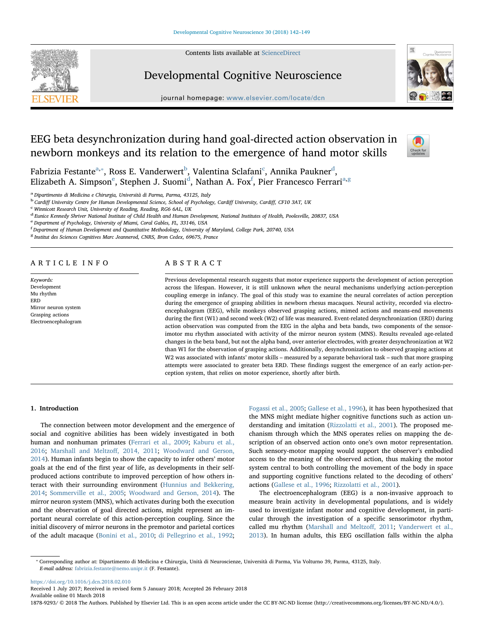Contents lists available at [ScienceDirect](http://www.sciencedirect.com/science/journal/18789293)



# Developmental Cognitive Neuroscience



journal homepage: [www.elsevier.com/locate/dcn](https://www.elsevier.com/locate/dcn)

# EEG beta desynchronization during hand goal-directed action observation in newborn monkeys and its relation to the emergence of hand motor skills



Fabrizia Festante<sup>[a,](#page-0-0)</sup>\*, Ross E. Vanderwert<sup>[b](#page-0-2)</sup>, Valentina S[c](#page-0-3)lafani<sup>c</sup>, Annika Paukner<sup>[d](#page-0-4)</sup>, Elizab[e](#page-0-5)th A. Simpson $\mathrm{^e}$ , Stephen J. Suomi $\mathrm{^d}$  $\mathrm{^d}$  $\mathrm{^d}$ , Nathan A. Fox $\mathrm{^f}$  $\mathrm{^f}$  $\mathrm{^f}$ , Pier Francesco Ferrari $\mathrm{^{a,g}}$  $\mathrm{^{a,g}}$  $\mathrm{^{a,g}}$  $\mathrm{^{a,g}}$ 

<span id="page-0-0"></span><sup>a</sup> Dipartimento di Medicina e Chirurgia, Università di Parma, Parma, 43125, Italy

<span id="page-0-2"></span><sup>b</sup> Cardiff University Centre for Human Developmental Science, School of Psychology, Cardiff University, Cardiff, CF10 3AT, UK

<span id="page-0-3"></span>Winnicott Research Unit, University of Reading, Reading, RG6 6AL, UK

<span id="page-0-4"></span><sup>d</sup> Eunice Kennedy Shriver National Institute of Child Health and Human Development, National Institutes of Health, Poolesville, 20837, USA

<span id="page-0-5"></span>e Department of Psychology, University of Miami, Coral Gables, FL, 33146, USA

<span id="page-0-6"></span>f Department of Human Development and Quantitative Methodology, University of Maryland, College Park, 20740, USA

<span id="page-0-7"></span><sup>8</sup> Institut des Sciences Cognitives Marc Jeannerod, CNRS, Bron Cedex, 69675, France

## ARTICLE INFO

Keywords: Development Mu rhythm **ERD** Mirror neuron system Grasping actions Electroencephalogram

# ABSTRACT

Previous developmental research suggests that motor experience supports the development of action perception across the lifespan. However, it is still unknown when the neural mechanisms underlying action-perception coupling emerge in infancy. The goal of this study was to examine the neural correlates of action perception during the emergence of grasping abilities in newborn rhesus macaques. Neural activity, recorded via electroencephalogram (EEG), while monkeys observed grasping actions, mimed actions and means-end movements during the first (W1) and second week (W2) of life was measured. Event-related desynchronization (ERD) during action observation was computed from the EEG in the alpha and beta bands, two components of the sensorimotor mu rhythm associated with activity of the mirror neuron system (MNS). Results revealed age-related changes in the beta band, but not the alpha band, over anterior electrodes, with greater desynchronization at W2 than W1 for the observation of grasping actions. Additionally, desynchronization to observed grasping actions at W2 was associated with infants' motor skills – measured by a separate behavioral task – such that more grasping attempts were associated to greater beta ERD. These findings suggest the emergence of an early action-perception system, that relies on motor experience, shortly after birth.

## 1. Introduction

The connection between motor development and the emergence of social and cognitive abilities has been widely investigated in both human and nonhuman primates [\(Ferrari et al., 2009](#page-6-0); [Kaburu et al.,](#page-6-1) [2016;](#page-6-1) [Marshall and Meltzo](#page-6-2)ff, 2014, 2011; [Woodward and Gerson,](#page-7-0) [2014\)](#page-7-0). Human infants begin to show the capacity to infer others' motor goals at the end of the first year of life, as developments in their selfproduced actions contribute to improved perception of how others interact with their surrounding environment ([Hunnius and Bekkering,](#page-6-3) [2014;](#page-6-3) [Sommerville et al., 2005;](#page-7-1) [Woodward and Gerson, 2014](#page-7-0)). The mirror neuron system (MNS), which activates during both the execution and the observation of goal directed actions, might represent an important neural correlate of this action-perception coupling. Since the initial discovery of mirror neurons in the premotor and parietal cortices of the adult macaque [\(Bonini et al., 2010;](#page-6-4) [di Pellegrino et al., 1992](#page-6-5);

[Fogassi et al., 2005;](#page-6-6) [Gallese et al., 1996\)](#page-6-7), it has been hypothesized that the MNS might mediate higher cognitive functions such as action understanding and imitation ([Rizzolatti et al., 2001](#page-7-2)). The proposed mechanism through which the MNS operates relies on mapping the description of an observed action onto one's own motor representation. Such sensory-motor mapping would support the observer's embodied access to the meaning of the observed action, thus making the motor system central to both controlling the movement of the body in space and supporting cognitive functions related to the decoding of others' actions [\(Gallese et al., 1996;](#page-6-7) [Rizzolatti et al., 2001\)](#page-7-2).

The electroencephalogram (EEG) is a non-invasive approach to measure brain activity in developmental populations, and is widely used to investigate infant motor and cognitive development, in particular through the investigation of a specific sensorimotor rhythm, called mu rhythm ([Marshall and Meltzo](#page-6-8)ff, 2011; [Vanderwert et al.,](#page-7-3) [2013\)](#page-7-3). In human adults, this EEG oscillation falls within the alpha

<https://doi.org/10.1016/j.dcn.2018.02.010>

Received 1 July 2017; Received in revised form 5 January 2018; Accepted 26 February 2018 Available online 01 March 2018

1878-9293/ © 2018 The Authors. Published by Elsevier Ltd. This is an open access article under the CC BY-NC-ND license (http://creativecommons.org/licenses/BY-NC-ND/4.0/).

<span id="page-0-1"></span><sup>⁎</sup> Corresponding author at: Dipartimento di Medicina e Chirurgia, Unità di Neuroscienze, Università di Parma, Via Volturno 39, Parma, 43125, Italy. E-mail address: [fabrizia.festante@nemo.unipr.it](mailto:fabrizia.festante@nemo.unipr.it) (F. Festante).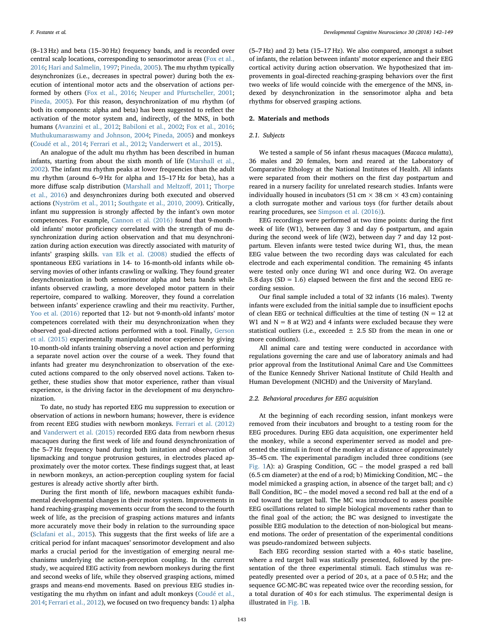(8–13 Hz) and beta (15–30 Hz) frequency bands, and is recorded over central scalp locations, corresponding to sensorimotor areas ([Fox et al.,](#page-6-9) [2016;](#page-6-9) [Hari and Salmelin, 1997;](#page-6-10) [Pineda, 2005\)](#page-7-4). The mu rhythm typically desynchronizes (i.e., decreases in spectral power) during both the execution of intentional motor acts and the observation of actions performed by others [\(Fox et al., 2016](#page-6-9); [Neuper and Pfurtscheller, 2001](#page-7-5); [Pineda, 2005](#page-7-4)). For this reason, desynchronization of mu rhythm (of both its components: alpha and beta) has been suggested to reflect the activation of the motor system and, indirectly, of the MNS, in both humans [\(Avanzini et al., 2012](#page-6-11); [Babiloni et al., 2002;](#page-6-12) [Fox et al., 2016](#page-6-9); [Muthukumaraswamy and Johnson, 2004](#page-6-13); [Pineda, 2005\)](#page-7-4) and monkeys ([Coudé et al., 2014](#page-6-14); [Ferrari et al., 2012;](#page-6-15) [Vanderwert et al., 2015](#page-7-6)).

An analogue of the adult mu rhythm has been described in human infants, starting from about the sixth month of life [\(Marshall et al.,](#page-6-16) [2002\)](#page-6-16). The infant mu rhythm peaks at lower frequencies than the adult mu rhythm (around 6–9 Hz for alpha and 15–17 Hz for beta), has a more diffuse scalp distribution ([Marshall and Meltzo](#page-6-8)ff, 2011; [Thorpe](#page-7-7) [et al., 2016\)](#page-7-7) and desynchronizes during both executed and observed actions [\(Nyström et al., 2011;](#page-7-8) [Southgate et al., 2010, 2009](#page-7-9)). Critically, infant mu suppression is strongly affected by the infant's own motor competences. For example, [Cannon et al. \(2016\)](#page-6-17) found that 9-monthold infants' motor proficiency correlated with the strength of mu desynchronization during action observation and that mu desynchronization during action execution was directly associated with maturity of infants' grasping skills. [van Elk et al. \(2008\)](#page-7-10) studied the effects of spontaneous EEG variations in 14- to 16-month-old infants while observing movies of other infants crawling or walking. They found greater desynchronization in both sensorimotor alpha and beta bands while infants observed crawling, a more developed motor pattern in their repertoire, compared to walking. Moreover, they found a correlation between infants' experience crawling and their mu reactivity. Further, [Yoo et al. \(2016\)](#page-7-11) reported that 12- but not 9-month-old infants' motor competences correlated with their mu desynchronization when they observed goal-directed actions performed with a tool. Finally, [Gerson](#page-6-18) [et al. \(2015\)](#page-6-18) experimentally manipulated motor experience by giving 10-month-old infants training observing a novel action and performing a separate novel action over the course of a week. They found that infants had greater mu desynchronization to observation of the executed actions compared to the only observed novel actions. Taken together, these studies show that motor experience, rather than visual experience, is the driving factor in the development of mu desynchronization.

To date, no study has reported EEG mu suppression to execution or observation of actions in newborn humans; however, there is evidence from recent EEG studies with newborn monkeys. [Ferrari et al. \(2012\)](#page-6-15) and [Vanderwert et al. \(2015\)](#page-7-6) recorded EEG data from newborn rhesus macaques during the first week of life and found desynchronization of the 5–7 Hz frequency band during both imitation and observation of lipsmacking and tongue protrusion gestures, in electrodes placed approximately over the motor cortex. These findings suggest that, at least in newborn monkeys, an action-perception coupling system for facial gestures is already active shortly after birth.

During the first month of life, newborn macaques exhibit fundamental developmental changes in their motor system. Improvements in hand reaching-grasping movements occur from the second to the fourth week of life, as the precision of grasping actions matures and infants more accurately move their body in relation to the surrounding space ([Sclafani et al., 2015](#page-7-12)). This suggests that the first weeks of life are a critical period for infant macaques' sensorimotor development and also marks a crucial period for the investigation of emerging neural mechanisms underlying the action-perception coupling. In the current study, we acquired EEG activity from newborn monkeys during the first and second weeks of life, while they observed grasping actions, mimed grasps and means-end movements. Based on previous EEG studies investigating the mu rhythm on infant and adult monkeys ([Coudé et al.,](#page-6-14) [2014;](#page-6-14) [Ferrari et al., 2012\)](#page-6-15), we focused on two frequency bands: 1) alpha

(5–7 Hz) and 2) beta (15–17 Hz). We also compared, amongst a subset of infants, the relation between infants' motor experience and their EEG cortical activity during action observation. We hypothesized that improvements in goal-directed reaching-grasping behaviors over the first two weeks of life would coincide with the emergence of the MNS, indexed by desynchronization in the sensorimotor alpha and beta rhythms for observed grasping actions.

### 2. Materials and methods

#### 2.1. Subjects

We tested a sample of 56 infant rhesus macaques (Macaca mulatta), 36 males and 20 females, born and reared at the Laboratory of Comparative Ethology at the National Institutes of Health. All infants were separated from their mothers on the first day postpartum and reared in a nursery facility for unrelated research studies. Infants were individually housed in incubators (51 cm  $\times$  38 cm  $\times$  43 cm) containing a cloth surrogate mother and various toys (for further details about rearing procedures, see [Simpson et al. \(2016\)\)](#page-7-13).

EEG recordings were performed at two time points: during the first week of life (W1), between day 3 and day 6 postpartum, and again during the second week of life (W2), between day 7 and day 12 postpartum. Eleven infants were tested twice during W1, thus, the mean EEG value between the two recording days was calculated for each electrode and each experimental condition. The remaining 45 infants were tested only once during W1 and once during W2. On average 5.8 days (SD = 1.6) elapsed between the first and the second EEG recording session.

Our final sample included a total of 32 infants (16 males). Twenty infants were excluded from the initial sample due to insufficient epochs of clean EEG or technical difficulties at the time of testing  $(N = 12$  at W1 and  $N = 8$  at W2) and 4 infants were excluded because they were statistical outliers (i.e., exceeded  $\pm$  2.5 SD from the mean in one or more conditions).

All animal care and testing were conducted in accordance with regulations governing the care and use of laboratory animals and had prior approval from the Institutional Animal Care and Use Committees of the Eunice Kennedy Shriver National Institute of Child Health and Human Development (NICHD) and the University of Maryland.

#### 2.2. Behavioral procedures for EEG acquisition

At the beginning of each recording session, infant monkeys were removed from their incubators and brought to a testing room for the EEG procedures. During EEG data acquisition, one experimenter held the monkey, while a second experimenter served as model and presented the stimuli in front of the monkey at a distance of approximately 35–45 cm. The experimental paradigm included three conditions (see [Fig. 1A](#page-2-0)): a) Grasping Condition, GC – the model grasped a red ball (6.5 cm diameter) at the end of a rod; b) Mimicking Condition, MC – the model mimicked a grasping action, in absence of the target ball; and c) Ball Condition, BC – the model moved a second red ball at the end of a rod toward the target ball. The MC was introduced to assess possible EEG oscillations related to simple biological movements rather than to the final goal of the action; the BC was designed to investigate the possible EEG modulation to the detection of non-biological but meansend motions. The order of presentation of the experimental conditions was pseudo-randomized between subjects.

Each EEG recording session started with a 40-s static baseline, where a red target ball was statically presented, followed by the presentation of the three experimental stimuli. Each stimulus was repeatedly presented over a period of 20 s, at a pace of 0.5 Hz; and the sequence GC-MC-BC was repeated twice over the recording session, for a total duration of 40 s for each stimulus. The experimental design is illustrated in [Fig. 1B](#page-2-0).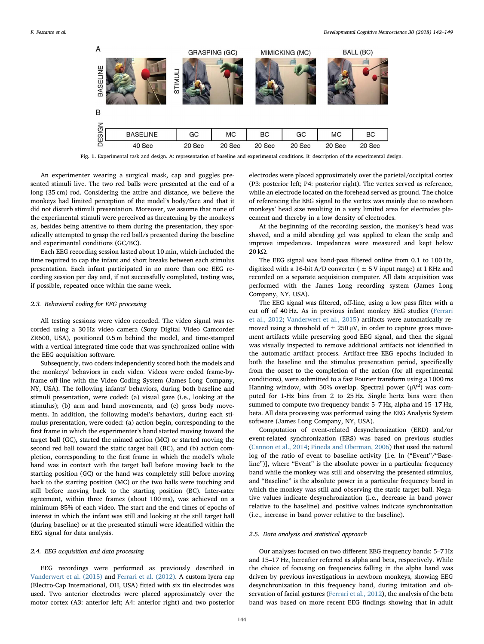<span id="page-2-0"></span>

Fig. 1. Experimental task and design. A: representation of baseline and experimental conditions. B: description of the experimental design.

An experimenter wearing a surgical mask, cap and goggles presented stimuli live. The two red balls were presented at the end of a long (35 cm) rod. Considering the attire and distance, we believe the monkeys had limited perception of the model's body/face and that it did not disturb stimuli presentation. Moreover, we assume that none of the experimental stimuli were perceived as threatening by the monkeys as, besides being attentive to them during the presentation, they sporadically attempted to grasp the red ball/s presented during the baseline and experimental conditions (GC/BC).

Each EEG recording session lasted about 10 min, which included the time required to cap the infant and short breaks between each stimulus presentation. Each infant participated in no more than one EEG recording session per day and, if not successfully completed, testing was, if possible, repeated once within the same week.

## 2.3. Behavioral coding for EEG processing

All testing sessions were video recorded. The video signal was recorded using a 30 Hz video camera (Sony Digital Video Camcorder ZR600, USA), positioned 0.5 m behind the model, and time-stamped with a vertical integrated time code that was synchronized online with the EEG acquisition software.

Subsequently, two coders independently scored both the models and the monkeys' behaviors in each video. Videos were coded frame-byframe off-line with the Video Coding System (James Long Company, NY, USA). The following infants' behaviors, during both baseline and stimuli presentation, were coded: (a) visual gaze (i.e., looking at the stimulus); (b) arm and hand movements, and (c) gross body movements. In addition, the following model's behaviors, during each stimulus presentation, were coded: (a) action begin, corresponding to the first frame in which the experimenter's hand started moving toward the target ball (GC), started the mimed action (MC) or started moving the second red ball toward the static target ball (BC), and (b) action completion, corresponding to the first frame in which the model's whole hand was in contact with the target ball before moving back to the starting position (GC) or the hand was completely still before moving back to the starting position (MC) or the two balls were touching and still before moving back to the starting position (BC). Inter-rater agreement, within three frames (about 100 ms), was achieved on a minimum 85% of each video. The start and the end times of epochs of interest in which the infant was still and looking at the still target ball (during baseline) or at the presented stimuli were identified within the EEG signal for data analysis.

#### 2.4. EEG acquisition and data processing

EEG recordings were performed as previously described in [Vanderwert et al. \(2015\)](#page-7-6) and [Ferrari et al. \(2012\).](#page-6-15) A custom lycra cap (Electro-Cap International, OH, USA) fitted with six tin electrodes was used. Two anterior electrodes were placed approximately over the motor cortex (A3: anterior left; A4: anterior right) and two posterior

electrodes were placed approximately over the parietal/occipital cortex (P3: posterior left; P4: posterior right). The vertex served as reference, while an electrode located on the forehead served as ground. The choice of referencing the EEG signal to the vertex was mainly due to newborn monkeys' head size resulting in a very limited area for electrodes placement and thereby in a low density of electrodes.

At the beginning of the recording session, the monkey's head was shaved, and a mild abrading gel was applied to clean the scalp and improve impedances. Impedances were measured and kept below 20 kΩ.

The EEG signal was band-pass filtered online from 0.1 to 100 Hz, digitized with a 16-bit A/D converter ( $\pm$  5 V input range) at 1 KHz and recorded on a separate acquisition computer. All data acquisition was performed with the James Long recording system (James Long Company, NY, USA).

The EEG signal was filtered, off-line, using a low pass filter with a cut off of 40 Hz. As in previous infant monkey EEG studies ([Ferrari](#page-6-15) et [al., 2012](#page-6-15); [Vanderwert et al., 2015](#page-7-6)) artifacts were automatically removed using a threshold of  $\pm 250 \mu V$ , in order to capture gross movement artifacts while preserving good EEG signal, and then the signal was visually inspected to remove additional artifacts not identified in the automatic artifact process. Artifact-free EEG epochs included in both the baseline and the stimulus presentation period, specifically from the onset to the completion of the action (for all experimental conditions), were submitted to a fast Fourier transform using a 1000 ms Hanning window, with 50% overlap. Spectral power  $(\mu V^2)$  was computed for 1-Hz bins from 2 to 25 Hz. Single hertz bins were then summed to compute two frequency bands: 5–7 Hz, alpha and 15–17 Hz, beta. All data processing was performed using the EEG Analysis System software (James Long Company, NY, USA).

Computation of event-related desynchronization (ERD) and/or event-related synchronization (ERS) was based on previous studies ([Cannon et al., 2014](#page-6-19); [Pineda and Oberman, 2006](#page-7-14)) that used the natural log of the ratio of event to baseline activity [i.e. ln ("Event"/"Baseline")], where "Event" is the absolute power in a particular frequency band while the monkey was still and observing the presented stimulus, and "Baseline" is the absolute power in a particular frequency band in which the monkey was still and observing the static target ball. Negative values indicate desynchronization (i.e., decrease in band power relative to the baseline) and positive values indicate synchronization (i.e., increase in band power relative to the baseline).

#### 2.5. Data analysis and statistical approach

Our analyses focused on two different EEG frequency bands: 5–7 Hz and 15–17 Hz, hereafter referred as alpha and beta, respectively. While the choice of focusing on frequencies falling in the alpha band was driven by previous investigations in newborn monkeys, showing EEG desynchronization in this frequency band, during imitation and observation of facial gestures ([Ferrari et al., 2012](#page-6-15)), the analysis of the beta band was based on more recent EEG findings showing that in adult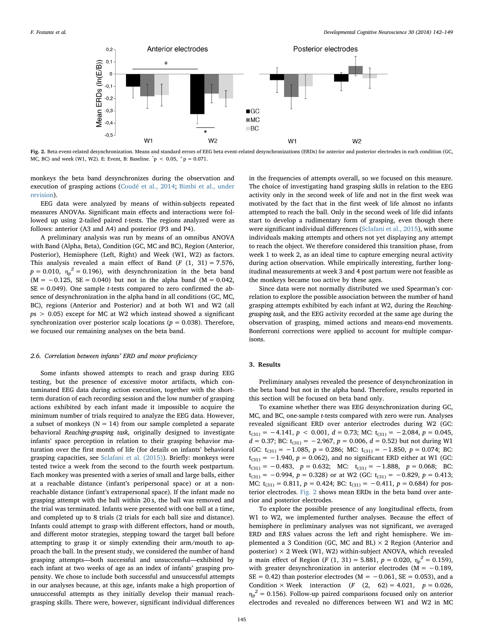<span id="page-3-0"></span>

Fig. 2. Beta event-related desynchronization. Means and standard errors of EEG beta event-related desynchronizations (ERDs) for anterior and posterior electrodes in each condition (GC, MC, BC) and week (W1, W2). E: Event, B: Baseline.  $\degree{p}$  < 0.05,  $\degree{p}$  = 0.071.

monkeys the beta band desynchronizes during the observation and execution of grasping actions ([Coudé et al., 2014](#page-6-14); [Bimbi et al., under](#page-6-20) [revision\)](#page-6-20).

EEG data were analyzed by means of within-subjects repeated measures ANOVAs. Significant main effects and interactions were followed up using 2-tailed paired t-tests. The regions analyzed were as follows: anterior (A3 and A4) and posterior (P3 and P4).

A preliminary analysis was run by means of an omnibus ANOVA with Band (Alpha, Beta), Condition (GC, MC and BC), Region (Anterior, Posterior), Hemisphere (Left, Right) and Week (W1, W2) as factors. This analysis revealed a main effect of Band  $(F (1, 31) = 7.576,$  $p = 0.010$ ,  $\eta_p^2 = 0.196$ ), with desynchronization in the beta band  $(M = -0.125, SE = 0.040)$  but not in the alpha band  $(M = 0.042,$  $SE = 0.049$ ). One sample *t*-tests compared to zero confirmed the absence of desynchronization in the alpha band in all conditions (GC, MC, BC), regions (Anterior and Posterior) and at both W1 and W2 (all  $ps > 0.05$ ) except for MC at W2 which instead showed a significant synchronization over posterior scalp locations ( $p = 0.038$ ). Therefore, we focused our remaining analyses on the beta band.

#### 2.6. Correlation between infants' ERD and motor proficiency

Some infants showed attempts to reach and grasp during EEG testing, but the presence of excessive motor artifacts, which contaminated EEG data during action execution, together with the shortterm duration of each recording session and the low number of grasping actions exhibited by each infant made it impossible to acquire the minimum number of trials required to analyze the EEG data. However, a subset of monkeys ( $N = 14$ ) from our sample completed a separate behavioral Reaching-grasping task, originally designed to investigate infants' space perception in relation to their grasping behavior maturation over the first month of life (for details on infants' behavioral grasping capacities, see [Sclafani et al. \(2015\)](#page-7-12)). Briefly: monkeys were tested twice a week from the second to the fourth week postpartum. Each monkey was presented with a series of small and large balls, either at a reachable distance (infant's peripersonal space) or at a nonreachable distance (infant's extrapersonal space). If the infant made no grasping attempt with the ball within 20 s, the ball was removed and the trial was terminated. Infants were presented with one ball at a time, and completed up to 8 trials (2 trials for each ball size and distance). Infants could attempt to grasp with different effectors, hand or mouth, and different motor strategies, stepping toward the target ball before attempting to grasp it or simply extending their arm/mouth to approach the ball. In the present study, we considered the number of hand grasping attempts—both successful and unsuccessful—exhibited by each infant at two weeks of age as an index of infants' grasping propensity. We chose to include both successful and unsuccessful attempts in our analyses because, at this age, infants make a high proportion of unsuccessful attempts as they initially develop their manual reachgrasping skills. There were, however, significant individual differences

in the frequencies of attempts overall, so we focused on this measure. The choice of investigating hand grasping skills in relation to the EEG activity only in the second week of life and not in the first week was motivated by the fact that in the first week of life almost no infants attempted to reach the ball. Only in the second week of life did infants start to develop a rudimentary form of grasping, even though there were significant individual differences [\(Sclafani et al., 2015](#page-7-12)), with some individuals making attempts and others not yet displaying any attempt to reach the object. We therefore considered this transition phase, from week 1 to week 2, as an ideal time to capture emerging neural activity during action observation. While empirically interesting, further longitudinal measurements at week 3 and 4 post partum were not feasible as the monkeys became too active by these ages.

Since data were not normally distributed we used Spearman's correlation to explore the possible association between the number of hand grasping attempts exhibited by each infant at W2, during the Reachinggrasping task, and the EEG activity recorded at the same age during the observation of grasping, mimed actions and means-end movements. Bonferroni corrections were applied to account for multiple comparisons.

### 3. Results

Preliminary analyses revealed the presence of desynchronization in the beta band but not in the alpha band. Therefore, results reported in this section will be focused on beta band only.

To examine whether there was EEG desynchronization during GC, MC, and BC, one-sample t-tests compared with zero were run. Analyses revealed significant ERD over anterior electrodes during W2 (GC:  $t_{(31)} = -4.141, p < 0.001, d = 0.73; MC: t_{(31)} = -2.084, p = 0.045,$  $d = 0.37$ ; BC: t<sub>(31)</sub> = -2.967, p = 0.006, d = 0.52) but not during W1 (GC:  $t_{(31)} = -1.085$ ,  $p = 0.286$ ; MC:  $t_{(31)} = -1.850$ ,  $p = 0.074$ ; BC:  $t_{(31)} = -1.940$ ,  $p = 0.062$ ), and no significant ERD either at W1 (GC:  $t_{(31)} = -0.483$ ,  $p = 0.632$ ; MC:  $t_{(31)} = -1.888$ ,  $p = 0.068$ ; BC:  $t_{(31)} = -0.994$ ,  $p = 0.328$ ) or at W2 (GC:  $t_{(31)} = -0.829$ ,  $p = 0.413$ ; MC:  $t_{(31)} = 0.811$ ,  $p = 0.424$ ; BC:  $t_{(31)} = -0.411$ ,  $p = 0.684$ ) for posterior electrodes. [Fig. 2](#page-3-0) shows mean ERDs in the beta band over anterior and posterior electrodes.

To explore the possible presence of any longitudinal effects, from W1 to W2, we implemented further analyses. Because the effect of hemisphere in preliminary analyses was not significant, we averaged ERD and ERS values across the left and right hemisphere. We implemented a 3 Condition (GC, MC and BL)  $\times$  2 Region (Anterior and posterior)  $\times$  2 Week (W1, W2) within-subject ANOVA, which revealed a main effect of Region (*F* (1, 31) = 5.881,  $p = 0.020$ ,  $\eta_p^2 = 0.159$ ), with greater desynchronization in anterior electrodes ( $M = -0.189$ ,  $SE = 0.42$ ) than posterior electrodes (M =  $-0.061$ , SE = 0.053), and a Condition  $\times$  Week interaction (*F* (2, 62) = 4.021,  $p = 0.026$ ,  $\eta_p^2$  = 0.156). Follow-up paired comparisons focused only on anterior electrodes and revealed no differences between W1 and W2 in MC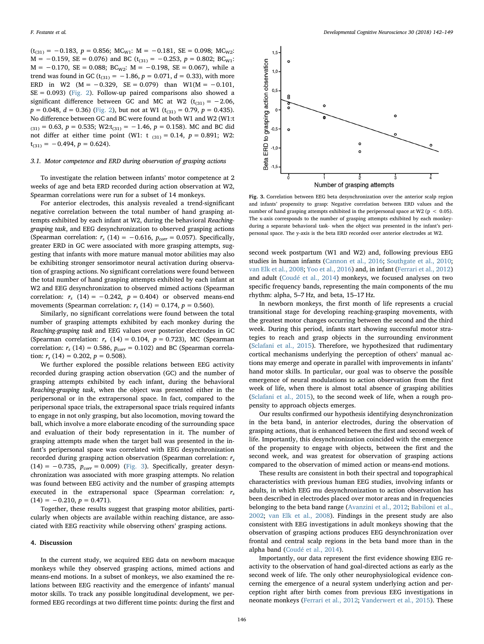$(t_{(31)} = -0.183, p = 0.856; MC_{W1}: M = -0.181, SE = 0.098; MC_{W2}:$  $M = -0.159$ , SE = 0.076) and BC (t<sub>(31)</sub> = -0.253, p = 0.802; BC<sub>W1</sub>:  $M = -0.170$ , SE = 0.088; BC<sub>W2</sub>: M = -0.198, SE = 0.067), while a trend was found in GC ( $t_{(31)} = -1.86$ ,  $p = 0.071$ ,  $d = 0.33$ ), with more ERD in W2 (M =  $-0.329$ , SE = 0.079) than W1(M =  $-0.101$ ,  $SE = 0.093$ ) [\(Fig. 2](#page-3-0)). Follow-up paired comparisons also showed a significant difference between GC and MC at W2 ( $t_{(31)} = -2.06$ ,  $p = 0.048$ ,  $d = 0.36$ ) ([Fig. 2](#page-3-0)), but not at W1 (t<sub>(31)</sub> = 0.79,  $p = 0.435$ ). No difference between GC and BC were found at both W1 and W2 (W1:t  $(31) = 0.63$ ,  $p = 0.535$ ; W2:t $(31) = -1.46$ ,  $p = 0.158$ ). MC and BC did not differ at either time point (W1: t  $_{(31)} = 0.14$ ,  $p = 0.891$ ; W2:  $t_{(31)} = -0.494$ ,  $p = 0.624$ ).

#### 3.1. Motor competence and ERD during observation of grasping actions

To investigate the relation between infants' motor competence at 2 weeks of age and beta ERD recorded during action observation at W2, Spearman correlations were run for a subset of 14 monkeys.

For anterior electrodes, this analysis revealed a trend-significant negative correlation between the total number of hand grasping attempts exhibited by each infant at W2, during the behavioral Reachinggrasping task, and EEG desynchronization to observed grasping actions (Spearman correlation:  $r_s$  (14) = -0.616,  $p_{corr}$  = 0.057). Specifically, greater ERD in GC were associated with more grasping attempts, suggesting that infants with more mature manual motor abilities may also be exhibiting stronger sensorimotor neural activation during observation of grasping actions. No significant correlations were found between the total number of hand grasping attempts exhibited by each infant at W2 and EEG desynchronization to observed mimed actions (Spearman correlation:  $r_s$  (14) = -0.242,  $p = 0.404$ ) or observed means-end movements (Spearman correlation:  $r_s$  (14) = 0.174,  $p = 0.560$ ).

Similarly, no significant correlations were found between the total number of grasping attempts exhibited by each monkey during the Reaching-grasping task and EEG values over posterior electrodes in GC (Spearman correlation:  $r_s$  (14) = 0.104,  $p = 0.723$ ), MC (Spearman correlation:  $r_s$  (14) = 0.586,  $p_{corr}$  = 0.102) and BC (Spearman correlation:  $r_s$  (14) = 0.202,  $p = 0.508$ ).

We further explored the possible relations between EEG activity recorded during grasping action observation (GC) and the number of grasping attempts exhibited by each infant, during the behavioral Reaching-grasping task, when the object was presented either in the peripersonal or in the extrapersonal space. In fact, compared to the peripersonal space trials, the extrapersonal space trials required infants to engage in not only grasping, but also locomotion, moving toward the ball, which involve a more elaborate encoding of the surrounding space and evaluation of their body representation in it. The number of grasping attempts made when the target ball was presented in the infant's peripersonal space was correlated with EEG desynchronization recorded during grasping action observation (Spearman correlation:  $r_s$ (14) =  $-0.735$ ,  $p_{corr} = 0.009$ ) [\(Fig. 3](#page-4-0)). Specifically, greater desynchronization was associated with more grasping attempts. No relation was found between EEG activity and the number of grasping attempts executed in the extrapersonal space (Spearman correlation:  $r_s$  $(14) = -0.210, p = 0.471$ .

Together, these results suggest that grasping motor abilities, particularly when objects are available within reaching distance, are associated with EEG reactivity while observing others' grasping actions.

#### 4. Discussion

In the current study, we acquired EEG data on newborn macaque monkeys while they observed grasping actions, mimed actions and means-end motions. In a subset of monkeys, we also examined the relations between EEG reactivity and the emergence of infants' manual motor skills. To track any possible longitudinal development, we performed EEG recordings at two different time points: during the first and

<span id="page-4-0"></span>

Fig. 3. Correlation between EEG beta desynchronization over the anterior scalp region and infants' propensity to grasp: Negative correlation between ERD values and the number of hand grasping attempts exhibited in the peripersonal space at W2 ( $p < 0.05$ ). The x-axis corresponds to the number of grasping attempts exhibited by each monkeyduring a separate behavioral task- when the object was presented in the infant's peripersonal space. The y-axis is the beta ERD recorded over anterior electrodes at W2.

second week postpartum (W1 and W2) and, following previous EEG studies in human infants ([Cannon et al., 2016](#page-6-17); [Southgate et al., 2010](#page-7-9); [van Elk et al., 2008;](#page-7-10) [Yoo et al., 2016\)](#page-7-11) and, in infant [\(Ferrari et al., 2012\)](#page-6-15) and adult [\(Coudé et al., 2014](#page-6-14)) monkeys, we focused analyses on two specific frequency bands, representing the main components of the mu rhythm: alpha, 5–7 Hz, and beta, 15–17 Hz.

In newborn monkeys, the first month of life represents a crucial transitional stage for developing reaching-grasping movements, with the greatest motor changes occurring between the second and the third week. During this period, infants start showing successful motor strategies to reach and grasp objects in the surrounding environment ([Sclafani et al., 2015\)](#page-7-12). Therefore, we hypothesized that rudimentary cortical mechanisms underlying the perception of others' manual actions may emerge and operate in parallel with improvements in infants' hand motor skills. In particular, our goal was to observe the possible emergence of neural modulations to action observation from the first week of life, when there is almost total absence of grasping abilities ([Sclafani et al., 2015](#page-7-12)), to the second week of life, when a rough propensity to approach objects emerges.

Our results confirmed our hypothesis identifying desynchronization in the beta band, in anterior electrodes, during the observation of grasping actions, that is enhanced between the first and second week of life. Importantly, this desynchronization coincided with the emergence of the propensity to engage with objects, between the first and the second week, and was greatest for observation of grasping actions compared to the observation of mimed action or means-end motions.

These results are consistent in both their spectral and topographical characteristics with previous human EEG studies, involving infants or adults, in which EEG mu desynchronization to action observation has been described in electrodes placed over motor areas and in frequencies belonging to the beta band range [\(Avanzini et al., 2012;](#page-6-11) [Babiloni et al.,](#page-6-12) [2002;](#page-6-12) [van Elk et al., 2008](#page-7-10)). Findings in the present study are also consistent with EEG investigations in adult monkeys showing that the observation of grasping actions produces EEG desynchronization over frontal and central scalp regions in the beta band more than in the alpha band ([Coudé et al., 2014\)](#page-6-14).

Importantly, our data represent the first evidence showing EEG reactivity to the observation of hand goal-directed actions as early as the second week of life. The only other neurophysiological evidence concerning the emergence of a neural system underlying action and perception right after birth comes from previous EEG investigations in neonate monkeys ([Ferrari et al., 2012;](#page-6-15) [Vanderwert et al., 2015\)](#page-7-6). These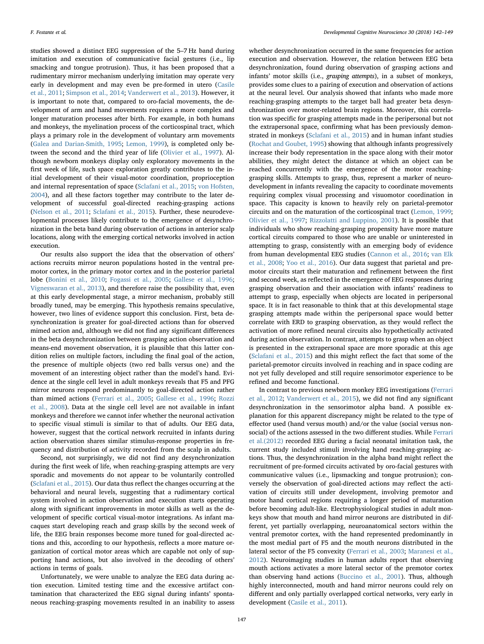studies showed a distinct EEG suppression of the 5–7 Hz band during imitation and execution of communicative facial gestures (i.e., lip smacking and tongue protrusion). Thus, it has been proposed that a rudimentary mirror mechanism underlying imitation may operate very early in development and may even be pre-formed in utero ([Casile](#page-6-21) [et al., 2011](#page-6-21); [Simpson et al., 2014;](#page-7-15) [Vanderwert et al., 2013](#page-7-3)). However, it is important to note that, compared to oro-facial movements, the development of arm and hand movements requires a more complex and longer maturation processes after birth. For example, in both humans and monkeys, the myelination process of the corticospinal tract, which plays a primary role in the development of voluntary arm movements ([Galea and Darian-Smith, 1995](#page-6-22); [Lemon, 1999](#page-6-23)), is completed only between the second and the third year of life ([Olivier et al., 1997\)](#page-7-16). Although newborn monkeys display only exploratory movements in the first week of life, such space exploration greatly contributes to the initial development of their visual-motor coordination, proprioception and internal representation of space ([Sclafani et al., 2015;](#page-7-12) [von Hofsten,](#page-7-17) [2004\)](#page-7-17), and all these factors together may contribute to the later development of successful goal-directed reaching-grasping actions ([Nelson et al., 2011;](#page-7-18) [Sclafani et al., 2015\)](#page-7-12). Further, these neurodevelopmental processes likely contribute to the emergence of desynchronization in the beta band during observation of actions in anterior scalp locations, along with the emerging cortical networks involved in action execution.

Our results also support the idea that the observation of others' actions recruits mirror neuron populations hosted in the ventral premotor cortex, in the primary motor cortex and in the posterior parietal lobe [\(Bonini et al., 2010](#page-6-4); [Fogassi et al., 2005](#page-6-6); [Gallese et al., 1996](#page-6-7); [Vigneswaran et al., 2013](#page-7-19)), and therefore raise the possibility that, even at this early developmental stage, a mirror mechanism, probably still broadly tuned, may be emerging. This hypothesis remains speculative, however, two lines of evidence support this conclusion. First, beta desynchronization is greater for goal-directed actions than for observed mimed action and, although we did not find any significant differences in the beta desynchronization between grasping action observation and means-end movement observation, it is plausible that this latter condition relies on multiple factors, including the final goal of the action, the presence of multiple objects (two red balls versus one) and the movement of an interesting object rather than the model's hand. Evidence at the single cell level in adult monkeys reveals that F5 and PFG mirror neurons respond predominantly to goal-directed action rather than mimed actions [\(Ferrari et al., 2005](#page-6-24); [Gallese et al., 1996;](#page-6-7) [Rozzi](#page-7-20) [et al., 2008\)](#page-7-20). Data at the single cell level are not available in infant monkeys and therefore we cannot infer whether the neuronal activation to specific visual stimuli is similar to that of adults. Our EEG data, however, suggest that the cortical network recruited in infants during action observation shares similar stimulus-response properties in frequency and distribution of activity recorded from the scalp in adults.

Second, not surprisingly, we did not find any desynchronization during the first week of life, when reaching-grasping attempts are very sporadic and movements do not appear to be voluntarily controlled ([Sclafani et al., 2015\)](#page-7-12). Our data thus reflect the changes occurring at the behavioral and neural levels, suggesting that a rudimentary cortical system involved in action observation and execution starts operating along with significant improvements in motor skills as well as the development of specific cortical visual-motor integrations. As infant macaques start developing reach and grasp skills by the second week of life, the EEG brain responses become more tuned for goal-directed actions and this, according to our hypothesis, reflects a more mature organization of cortical motor areas which are capable not only of supporting hand actions, but also involved in the decoding of others' actions in terms of goals.

Unfortunately, we were unable to analyze the EEG data during action execution. Limited testing time and the excessive artifact contamination that characterized the EEG signal during infants' spontaneous reaching-grasping movements resulted in an inability to assess whether desynchronization occurred in the same frequencies for action execution and observation. However, the relation between EEG beta desynchronization, found during observation of grasping actions and infants' motor skills (i.e., grasping attempts), in a subset of monkeys, provides some clues to a pairing of execution and observation of actions at the neural level. Our analysis showed that infants who made more reaching-grasping attempts to the target ball had greater beta desynchronization over motor-related brain regions. Moreover, this correlation was specific for grasping attempts made in the peripersonal but not the extrapersonal space, confirming what has been previously demonstrated in monkeys ([Sclafani et al., 2015](#page-7-12)) and in human infant studies ([Rochat and Goubet, 1995](#page-7-21)) showing that although infants progressively increase their body representation in the space along with their motor abilities, they might detect the distance at which an object can be reached concurrently with the emergence of the motor reachinggrasping skills. Attempts to grasp, thus, represent a marker of neurodevelopment in infants revealing the capacity to coordinate movements requiring complex visual processing and visuomotor coordination in space. This capacity is known to heavily rely on parietal-premotor circuits and on the maturation of the corticospinal tract [\(Lemon, 1999](#page-6-23); [Olivier et al., 1997;](#page-7-16) [Rizzolatti and Luppino, 2001](#page-7-22)). It is possible that individuals who show reaching-grasping propensity have more mature cortical circuits compared to those who are unable or uninterested in attempting to grasp, consistently with an emerging body of evidence from human developmental EEG studies ([Cannon et al., 2016;](#page-6-17) [van Elk](#page-7-10) [et al., 2008;](#page-7-10) [Yoo et al., 2016](#page-7-11)). Our data suggest that parietal and premotor circuits start their maturation and refinement between the first and second week, as reflected in the emergence of EEG responses during grasping observation and their association with infants' readiness to attempt to grasp, especially when objects are located in peripersonal space. It is in fact reasonable to think that at this developmental stage grasping attempts made within the peripersonal space would better correlate with ERD to grasping observation, as they would reflect the activation of more refined neural circuits also hypothetically activated during action observation. In contrast, attempts to grasp when an object is presented in the extrapersonal space are more sporadic at this age (Sclafani [et al., 2015\)](#page-7-12) and this might reflect the fact that some of the parietal-premotor circuits involved in reaching and in space coding are not yet fully developed and still require sensorimotor experience to be refined and become functional.

In contrast to previous newborn monkey EEG investigations ([Ferrari](#page-6-15) [et al., 2012;](#page-6-15) [Vanderwert et al., 2015](#page-7-6)), we did not find any significant desynchronization in the sensorimotor alpha band. A possible explanation for this apparent discrepancy might be related to the type of effector used (hand versus mouth) and/or the value (social versus nonsocial) of the actions assessed in the two different studies. While [Ferrari](#page-6-15) [et al.\(2012\)](#page-6-15) recorded EEG during a facial neonatal imitation task, the current study included stimuli involving hand reaching-grasping actions. Thus, the desynchronization in the alpha band might reflect the recruitment of pre-formed circuits activated by oro-facial gestures with communicative values (i.e., lipsmacking and tongue protrusion); conversely the observation of goal-directed actions may reflect the activation of circuits still under development, involving premotor and motor hand cortical regions requiring a longer period of maturation before becoming adult-like. Electrophysiological studies in adult monkeys show that mouth and hand mirror neurons are distributed in different, yet partially overlapping, neuroanatomical sectors within the ventral premotor cortex, with the hand represented predominantly in the most medial part of F5 and the mouth neurons distributed in the lateral sector of the F5 convexity [\(Ferrari et al., 2003;](#page-6-25) [Maranesi et al.,](#page-6-26) [2012\)](#page-6-26). Neuroimaging studies in human adults report that observing mouth actions activates a more lateral sector of the premotor cortex than observing hand actions [\(Buccino et al., 2001\)](#page-6-27). Thus, although highly interconnected, mouth and hand mirror neurons could rely on different and only partially overlapped cortical networks, very early in development ([Casile et al., 2011](#page-6-21)).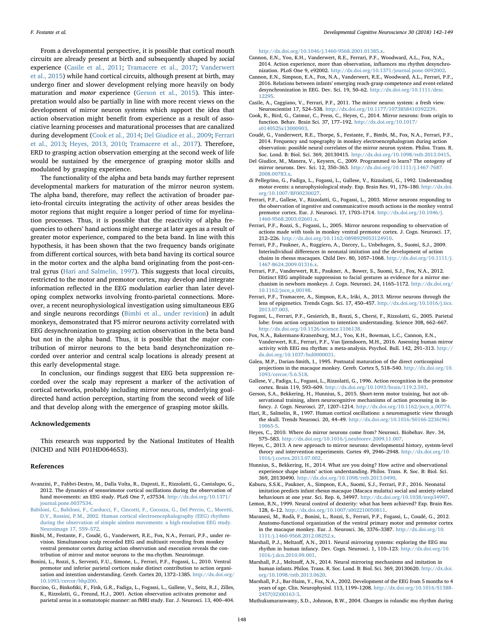From a developmental perspective, it is possible that cortical mouth circuits are already present at birth and subsequently shaped by social experience [\(Casile et al., 2011](#page-6-21); [Tramacere et al., 2017](#page-7-23); [Vanderwert](#page-7-6) [et al., 2015](#page-7-6)) while hand cortical circuits, although present at birth, may undergo finer and slower development relying more heavily on body maturation and motor experience ([Gerson et al., 2015\)](#page-6-18). This interpretation would also be partially in line with more recent views on the development of mirror neuron systems which support the idea that action observation might benefit from experience as a result of associative learning processes and maturational processes that are canalized during development ([Cook et al., 2014](#page-6-28); [Del Giudice et al., 2009](#page-6-29); [Ferrari](#page-6-30) [et al., 2013](#page-6-30); [Heyes, 2013, 2010](#page-6-31); [Tramacere et al., 2017](#page-7-23)). Therefore, ERD to grasping action observation emerging at the second week of life would be sustained by the emergence of grasping motor skills and modulated by grasping experience.

The functionality of the alpha and beta bands may further represent developmental markers for maturation of the mirror neuron system. The alpha band, therefore, may reflect the activation of broader parieto-frontal circuits integrating the activity of other areas besides the motor regions that might require a longer period of time for myelination processes. Thus, it is possible that the reactivity of alpha frequencies to others' hand actions might emerge at later ages as a result of greater motor experience, compared to the beta band. In line with this hypothesis, it has been shown that the two frequency bands originate from different cortical sources, with beta band having its cortical source in the motor cortex and the alpha band originating from the post-central gyrus ([Hari and Salmelin, 1997\)](#page-6-10). This suggests that local circuits, restricted to the motor and premotor cortex, may develop and integrate information reflected in the EEG modulation earlier than later developing complex networks involving fronto-parietal connections. Moreover, a recent neurophysiological investigation using simultaneous EEG and single neurons recordings ([Bimbi et al., under revision\)](#page-6-20) in adult monkeys, demonstrated that F5 mirror neurons activity correlated with EEG desynchronization to grasping action observation in the beta band but not in the alpha band. Thus, it is possible that the major contribution of mirror neurons to the beta band desynchronization recorded over anterior and central scalp locations is already present at this early developmental stage.

In conclusion, our findings suggest that EEG beta suppression recorded over the scalp may represent a marker of the activation of cortical networks, probably including mirror neurons, underlying goaldirected hand action perception, starting from the second week of life and that develop along with the emergence of grasping motor skills.

#### Acknowledgements

This research was supported by the National Institutes of Health (NICHD and NIH P01HD064653).

#### References

- <span id="page-6-11"></span>Avanzini, P., Fabbri-Destro, M., Dalla Volta, R., Daprati, E., Rizzolatti, G., Cantalupo, G., 2012. The dynamics of sensorimotor cortical oscillations during the observation of hand movements: an EEG study. PLoS One 7, e37534. [http://dx.doi.org/10.1371/](http://dx.doi.org/10.1371/journal.pone.0037534) [journal.pone.0037534](http://dx.doi.org/10.1371/journal.pone.0037534).
- <span id="page-6-12"></span>[Babiloni, C., Babiloni, F., Carducci, F., Cincotti, F., Cocozza, G., Del Percio, C., Moretti,](http://refhub.elsevier.com/S1878-9293(17)30143-3/sbref0010) [D.V., Rossini, P.M., 2002. Human cortical electroencephalography \(EEG\) rhythms](http://refhub.elsevier.com/S1878-9293(17)30143-3/sbref0010) [during the observation of simple aimless movements: a high-resolution EEG study.](http://refhub.elsevier.com/S1878-9293(17)30143-3/sbref0010) [Neuroimage 17, 559](http://refhub.elsevier.com/S1878-9293(17)30143-3/sbref0010)–572.
- <span id="page-6-20"></span>Bimbi, M., Festante, F., Coudé, G., Vanderwert, R.E., Fox, N.A., Ferrari, P.F., under revision. Simultaneous scalp recorded EEG and multiunit recording from monkey ventral premotor cortex during action observation and execution reveals the contribution of mirror and motor neurons to the mu-rhythm. Neuroimage.
- <span id="page-6-4"></span>Bonini, L., Rozzi, S., Serventi, F.U., Simone, L., Ferrari, P.F., Fogassi, L., 2010. Ventral premotor and inferior parietal cortices make distinct contribution to action organization and intention understanding. Cereb. Cortex 20, 1372-1385. [http://dx.doi.org/](http://dx.doi.org/10.1093/cercor/bhp200) [10.1093/cercor/bhp200](http://dx.doi.org/10.1093/cercor/bhp200).
- <span id="page-6-27"></span>Buccino, G., Binkofski, F., Fink, G.R., Fadiga, L., Fogassi, L., Gallese, V., Seitz, R.J., Zilles, K., Rizzolatti, G., Freund, H.J., 2001. Action observation activates premotor and parietal areas in a somatotopic manner: an fMRI study. Eur. J. Neurosci. 13, 400–404.

[http://dx.doi.org/10.1046/j.1460-9568.2001.01385.x.](http://dx.doi.org/10.1046/j.1460-9568.2001.01385.x)

- <span id="page-6-19"></span>Cannon, E.N., Yoo, K.H., Vanderwert, R.E., Ferrari, P.F., Woodward, A.L., Fox, N.A., 2014. Action experience, more than observation, influences mu rhythm desynchronization. PLoS One 9, e92002. [http://dx.doi.org/10.1371/journal.pone.0092002.](http://dx.doi.org/10.1371/journal.pone.0092002)
- <span id="page-6-17"></span>Cannon, E.N., Simpson, E.A., Fox, N.A., Vanderwert, R.E., Woodward, A.L., Ferrari, P.F., 2016. Relations between infants' emerging reach-grasp competence and event-related desynchronization in EEG. Dev. Sci. 19, 50–62. [http://dx.doi.org/10.1111/desc.](http://dx.doi.org/10.1111/desc.12295) [12295.](http://dx.doi.org/10.1111/desc.12295)
- <span id="page-6-21"></span>Casile, A., Caggiano, V., Ferrari, P.F., 2011. The mirror neuron system: a fresh view. Neuroscientist 17, 524–538. <http://dx.doi.org/10.1177/1073858410392239>.
- <span id="page-6-28"></span>Cook, R., Bird, G., Catmur, C., Press, C., Heyes, C., 2014. Mirror neurons: from origin to function. Behav. Brain Sci. 37, 177–192. [http://dx.doi.org/10.1017/](http://dx.doi.org/10.1017/s0140525x13000903) [s0140525x13000903](http://dx.doi.org/10.1017/s0140525x13000903).
- <span id="page-6-14"></span>Coudé, G., Vanderwert, R.E., Thorpe, S., Festante, F., Bimbi, M., Fox, N.A., Ferrari, P.F., 2014. Frequency and topography in monkey electroencephalogram during action observation: possible neural correlates of the mirror neuron system. Philos. Trans. R. Soc. Lond. B: Biol. Sci. 369, 20130415. <http://dx.doi.org/10.1098/rstb.2013.0415>.
- <span id="page-6-29"></span>Del Giudice, M., Manera, V., Keysers, C., 2009. Programmed to learn? The ontogeny of mirror neurons. Dev. Sci. 12, 350–363. [http://dx.doi.org/10.1111/j.1467-7687.](http://dx.doi.org/10.1111/j.1467-7687.2008.00783.x) [2008.00783.x.](http://dx.doi.org/10.1111/j.1467-7687.2008.00783.x)
- <span id="page-6-5"></span>di Pellegrino, G., Fadiga, L., Fogassi, L., Gallese, V., Rizzolatti, G., 1992. Understanding motor events: a neurophysiological study. Exp. Brain Res. 91, 176–180. [http://dx.doi.](http://dx.doi.org/10.1007/BF00230027) [org/10.1007/BF00230027](http://dx.doi.org/10.1007/BF00230027).
- <span id="page-6-25"></span>Ferrari, P.F., Gallese, V., Rizzolatti, G., Fogassi, L., 2003. Mirror neurons responding to the observation of ingestive and communicative mouth actions in the monkey ventral premotor cortex. Eur. J. Neurosci. 17, 1703–1714. [http://dx.doi.org/10.1046/j.](http://dx.doi.org/10.1046/j.1460-9568.2003.02601.x) [1460-9568.2003.02601.x](http://dx.doi.org/10.1046/j.1460-9568.2003.02601.x).
- <span id="page-6-24"></span>Ferrari, P.F., Rozzi, S., Fogassi, L., 2005. Mirror neurons responding to observation of actions made with tools in monkey ventral premotor cortex. J. Cogn. Neurosci. 17, 212–226. [http://dx.doi.org/10.1162/0898929053124910.](http://dx.doi.org/10.1162/0898929053124910)
- <span id="page-6-0"></span>Ferrari, P.F., Paukner, A., Ruggiero, A., Darcey, L., Unbehagen, S., Suomi, S.J., 2009. Interindividual differences in neonatal imitation and the development of action chains in rhesus macaques. Child Dev. 80, 1057–1068. [http://dx.doi.org/10.1111/j.](http://dx.doi.org/10.1111/j.1467-8624.2009.01316.x) [1467-8624.2009.01316.x](http://dx.doi.org/10.1111/j.1467-8624.2009.01316.x).
- <span id="page-6-15"></span>Ferrari, P.F., Vanderwert, R.E., Paukner, A., Bower, S., Suomi, S.J., Fox, N.A., 2012. Distinct EEG amplitude suppression to facial gestures as evidence for a mirror mechanism in newborn monkeys. J. Cogn. Neurosci. 24, 1165–1172. [http://dx.doi.org/](http://dx.doi.org/10.1162/jocn_a_00198) [10.1162/jocn\\_a\\_00198](http://dx.doi.org/10.1162/jocn_a_00198).
- <span id="page-6-30"></span>Ferrari, P.F., Tramacere, A., Simpson, E.A., Iriki, A., 2013. Mirror neurons through the lens of epigenetics. Trends Cogn. Sci. 17, 450–457. [http://dx.doi.org/10.1016/j.tics.](http://dx.doi.org/10.1016/j.tics.2013.07.003) [2013.07.003](http://dx.doi.org/10.1016/j.tics.2013.07.003).
- <span id="page-6-6"></span>Fogassi, L., Ferrari, P.F., Gesierich, B., Rozzi, S., Chersi, F., Rizzolatti, G., 2005. Parietal lobe: from action organization to intention understanding. Science 308, 662–667. [http://dx.doi.org/10.1126/science.1106138.](http://dx.doi.org/10.1126/science.1106138)
- <span id="page-6-9"></span>Fox, N.A., Bakermans-Kranenburg, M.J., Yoo, K.H., Bowman, L.C., Cannon, E.N., Vanderwert, R.E., Ferrari, P.F., Van Ijzendoorn, M.H., 2016. Assessing human mirror activity with EEG mu rhythm: a meta-analysis. Psychol. Bull. 142, 291–313. [http://](http://dx.doi.org/10.1037/bul0000031) [dx.doi.org/10.1037/bul0000031](http://dx.doi.org/10.1037/bul0000031).
- <span id="page-6-22"></span>Galea, M.P., Darian-Smith, I., 1995. Postnatal maturation of the direct corticospinal projections in the macaque monkey. Cereb. Cortex 5, 518–540. [http://dx.doi.org/10.](http://dx.doi.org/10.1093/cercor/5.6.518) [1093/cercor/5.6.518](http://dx.doi.org/10.1093/cercor/5.6.518).
- <span id="page-6-7"></span>Gallese, V., Fadiga, L., Fogassi, L., Rizzolatti, G., 1996. Action recognition in the premotor cortex. Brain 119, 593–609. <http://dx.doi.org/10.1093/brain/119.2.593>.
- <span id="page-6-18"></span>Gerson, S.A., Bekkering, H., Hunnius, S., 2015. Short-term motor training, but not observational training, alters neurocognitive mechanisms of action processing in infancy. J. Cogn. Neurosci. 27, 1207–1214. [http://dx.doi.org/10.1162/jocn\\_a\\_00774.](http://dx.doi.org/10.1162/jocn_a_00774)
- <span id="page-6-10"></span>Hari, R., Salmelin, R., 1997. Human cortical oscillations: a neuromagnetic view through the skull. Trends Neurosci. 20, 44–49. [http://dx.doi.org/10.1016/S0166-2236\(96\)](http://dx.doi.org/10.1016/S0166-2236(96)10065-5) [10065-5](http://dx.doi.org/10.1016/S0166-2236(96)10065-5).
- Heyes, C., 2010. Where do mirror neurons come from? Neurosci. Biobehav. Rev. 34, 575–583. [http://dx.doi.org/10.1016/j.neubiorev.2009.11.007.](http://dx.doi.org/10.1016/j.neubiorev.2009.11.007)
- <span id="page-6-31"></span>Heyes, C., 2013. A new approach to mirror neurons: developmental history, system-level theory and intervention experiments. Cortex 49, 2946–2948. [http://dx.doi.org/10.](http://dx.doi.org/10.1016/j.cortex.2013.07.002) [1016/j.cortex.2013.07.002.](http://dx.doi.org/10.1016/j.cortex.2013.07.002)
- <span id="page-6-3"></span>Hunnius, S., Bekkering, H., 2014. What are you doing? How active and observational experience shape infants' action understanding. Philos. Trans. R. Soc. B: Biol. Sci. 369, 20130490. [http://dx.doi.org/10.1098/rstb.2013.0490.](http://dx.doi.org/10.1098/rstb.2013.0490)
- <span id="page-6-1"></span>Kaburu, S.S.K., Paukner, A., Simpson, E.A., Suomi, S.J., Ferrari, P.F., 2016. Neonatal imitation predicts infant rhesus macaque (Macaca mulatta) social and anxiety-related behaviours at one year. Sci. Rep. 6, 34997. [http://dx.doi.org/10.1038/srep34997.](http://dx.doi.org/10.1038/srep34997)
- <span id="page-6-23"></span>Lemon, R.N., 1999. Neural control of dexterity: what has been achieved? Exp. Brain Res. 128, 6–12. [http://dx.doi.org/10.1007/s002210050811.](http://dx.doi.org/10.1007/s002210050811)
- <span id="page-6-26"></span>Maranesi, M., Rodà, F., Bonini, L., Rozzi, S., Ferrari, P.F., Fogassi, L., Coudé, G., 2012. Anatomo-functional organization of the ventral primary motor and premotor cortex in the macaque monkey. Eur. J. Neurosci. 36, 3376–3387. [http://dx.doi.org/10.](http://dx.doi.org/10.1111/j.1460-9568.2012.08252.x) [1111/j.1460-9568.2012.08252.x](http://dx.doi.org/10.1111/j.1460-9568.2012.08252.x).
- <span id="page-6-8"></span>Marshall, P.J., Meltzoff, A.N., 2011. Neural mirroring systems: exploring the EEG mu rhythm in human infancy. Dev. Cogn. Neurosci. 1, 110–123. [http://dx.doi.org/10.](http://dx.doi.org/10.1016/j.dcn.2010.09.001) [1016/j.dcn.2010.09.001](http://dx.doi.org/10.1016/j.dcn.2010.09.001).
- <span id="page-6-2"></span>Marshall, P.J., Meltzoff, A.N., 2014. Neural mirroring mechanisms and imitation in human infants. Philos. Trans. R. Soc. Lond. B: Biol. Sci. 369, 20130620. [http://dx.doi.](http://dx.doi.org/10.1098/rstb.2013.0620) [org/10.1098/rstb.2013.0620](http://dx.doi.org/10.1098/rstb.2013.0620).
- <span id="page-6-16"></span>Marshall, P.J., Bar-Haim, Y., Fox, N.A., 2002. Development of the EEG from 5 months to 4 years of age. Clin. Neurophysiol. 113, 1199–1208. [http://dx.doi.org/10.1016/S1388-](http://dx.doi.org/10.1016/S1388-2457(02)00163-3) [2457\(02\)00163-3](http://dx.doi.org/10.1016/S1388-2457(02)00163-3).

<span id="page-6-13"></span>Muthukumaraswamy, S.D., Johnson, B.W., 2004. Changes in rolandic mu rhythm during